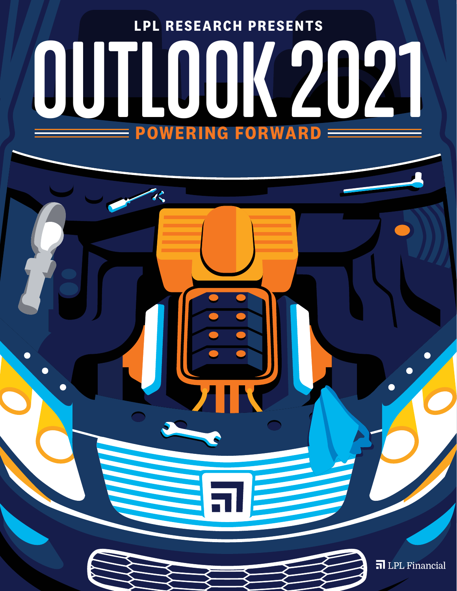

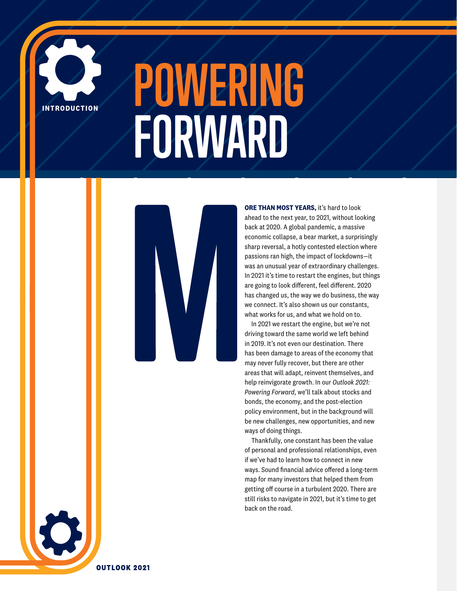

# **POWERING FORWARD**



**ORE THAN MOST YEARS,** it's hard to look ahead to the next year, to 2021, without looking back at 2020. A global pandemic, a massive economic collapse, a bear market, a surprisingly sharp reversal, a hotly contested election where passions ran high, the impact of lockdowns—it was an unusual year of extraordinary challenges. In 2021 it's time to restart the engines, but things are going to look different, feel different. 2020 has changed us, the way we do business, the way we connect. It's also shown us our constants, what works for us, and what we hold on to.

In 2021 we restart the engine, but we're not driving toward the same world we left behind in 2019. It's not even our destination. There has been damage to areas of the economy that may never fully recover, but there are other areas that will adapt, reinvent themselves, and help reinvigorate growth. In our *Outlook 2021: Powering Forward*, we'll talk about stocks and bonds, the economy, and the post-election policy environment, but in the background will be new challenges, new opportunities, and new ways of doing things.

Thankfully, one constant has been the value of personal and professional relationships, even if we've had to learn how to connect in new ways. Sound financial advice offered a long-term map for many investors that helped them from getting off course in a turbulent 2020. There are still risks to navigate in 2021, but it's time to get back on the road.

**OUTLOOK 2021**

 $\bullet$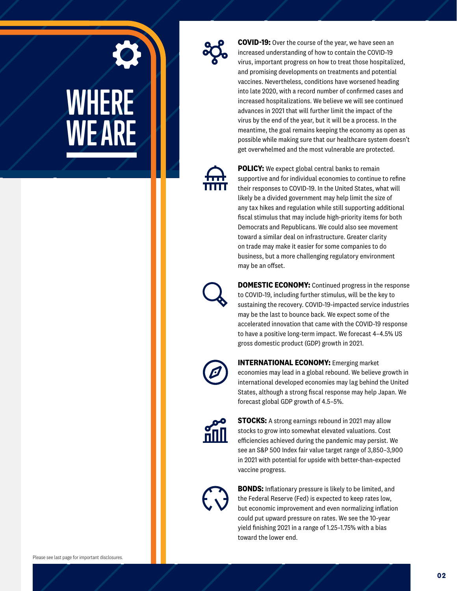



**COVID-19:** Over the course of the year, we have seen an increased understanding of how to contain the COVID-19 virus, important progress on how to treat those hospitalized, and promising developments on treatments and potential vaccines. Nevertheless, conditions have worsened heading into late 2020, with a record number of confirmed cases and increased hospitalizations. We believe we will see continued advances in 2021 that will further limit the impact of the virus by the end of the year, but it will be a process. In the meantime, the goal remains keeping the economy as open as possible while making sure that our healthcare system doesn't get overwhelmed and the most vulnerable are protected.



**POLICY:** We expect global central banks to remain supportive and for individual economies to continue to refine their responses to COVID-19. In the United States, what will likely be a divided government may help limit the size of any tax hikes and regulation while still supporting additional fiscal stimulus that may include high-priority items for both Democrats and Republicans. We could also see movement toward a similar deal on infrastructure. Greater clarity on trade may make it easier for some companies to do business, but a more challenging regulatory environment may be an offset.



**DOMESTIC ECONOMY:** Continued progress in the response to COVID-19, including further stimulus, will be the key to sustaining the recovery. COVID-19-impacted service industries may be the last to bounce back. We expect some of the accelerated innovation that came with the COVID-19 response to have a positive long-term impact. We forecast 4–4.5% US gross domestic product (GDP) growth in 2021.



**INTERNATIONAL ECONOMY:** Emerging market economies may lead in a global rebound. We believe growth in international developed economies may lag behind the United States, although a strong fiscal response may help Japan. We forecast global GDP growth of 4.5–5%.



**STOCKS:** A strong earnings rebound in 2021 may allow stocks to grow into somewhat elevated valuations. Cost efficiencies achieved during the pandemic may persist. We see an S&P 500 Index fair value target range of 3,850–3,900 in 2021 with potential for upside with better-than-expected vaccine progress.



**BONDS:** Inflationary pressure is likely to be limited, and the Federal Reserve (Fed) is expected to keep rates low, but economic improvement and even normalizing inflation could put upward pressure on rates. We see the 10-year yield finishing 2021 in a range of 1.25–1.75% with a bias toward the lower end.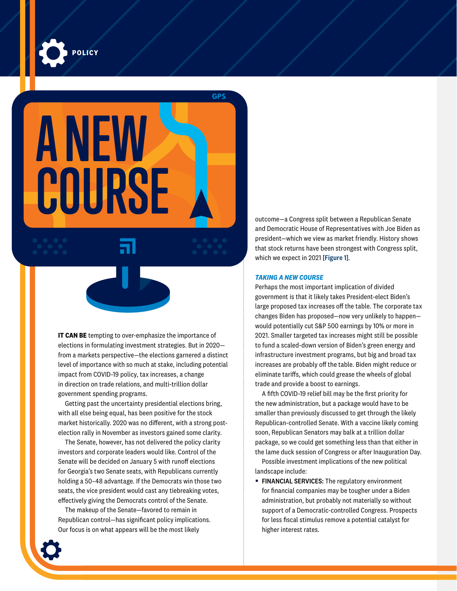

**A NEW COURSE**

**GPS** 

**IT CAN BE** tempting to over-emphasize the importance of elections in formulating investment strategies. But in 2020 from a markets perspective—the elections garnered a distinct level of importance with so much at stake, including potential impact from COVID-19 policy, tax increases, a change in direction on trade relations, and multi-trillion dollar government spending programs.

Getting past the uncertainty presidential elections bring, with all else being equal, has been positive for the stock market historically. 2020 was no different, with a strong postelection rally in November as investors gained some clarity.

The Senate, however, has not delivered the policy clarity investors and corporate leaders would like. Control of the Senate will be decided on January 5 with runoff elections for Georgia's two Senate seats, with Republicans currently holding a 50–48 advantage. If the Democrats win those two seats, the vice president would cast any tiebreaking votes, effectively giving the Democrats control of the Senate.

The makeup of the Senate—favored to remain in Republican control—has significant policy implications. Our focus is on what appears will be the most likely

outcome—a Congress split between a Republican Senate and Democratic House of Representatives with Joe Biden as president—which we view as market friendly. History shows that stock returns have been strongest with Congress split, which we expect in 2021 [Figure 1].

#### *TAKING A NEW COURSE*

Perhaps the most important implication of divided government is that it likely takes President-elect Biden's large proposed tax increases off the table. The corporate tax changes Biden has proposed—now very unlikely to happen would potentially cut S&P 500 earnings by 10% or more in 2021. Smaller targeted tax increases might still be possible to fund a scaled-down version of Biden's green energy and infrastructure investment programs, but big and broad tax increases are probably off the table. Biden might reduce or eliminate tariffs, which could grease the wheels of global trade and provide a boost to earnings.

A fifth COVID-19 relief bill may be the first priority for the new administration, but a package would have to be smaller than previously discussed to get through the likely Republican-controlled Senate. With a vaccine likely coming soon, Republican Senators may balk at a trillion dollar package, so we could get something less than that either in the lame duck session of Congress or after Inauguration Day.

Possible investment implications of the new political landscape include:

**FINANCIAL SERVICES:** The regulatory environment for financial companies may be tougher under a Biden administration, but probably not materially so without support of a Democratic-controlled Congress. Prospects for less fiscal stimulus remove a potential catalyst for higher interest rates.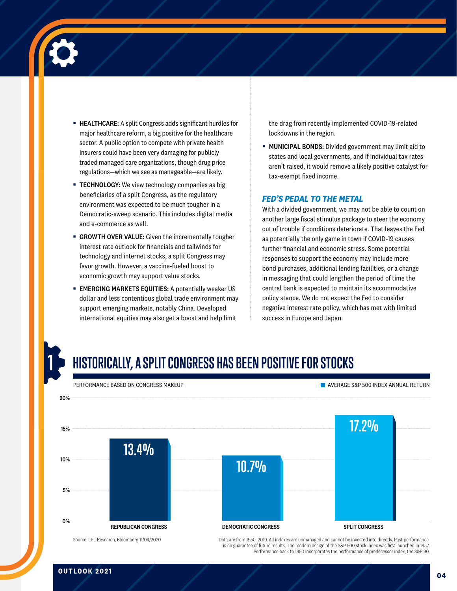

- **EXECTHEARE:** A split Congress adds significant hurdles for major healthcare reform, a big positive for the healthcare sector. A public option to compete with private health insurers could have been very damaging for publicly traded managed care organizations, though drug price regulations—which we see as manageable—are likely.
- **EXECHNOLOGY:** We view technology companies as big beneficiaries of a split Congress, as the regulatory environment was expected to be much tougher in a Democratic-sweep scenario. This includes digital media and e-commerce as well.
- **GROWTH OVER VALUE:** Given the incrementally tougher interest rate outlook for financials and tailwinds for technology and internet stocks, a split Congress may favor growth. However, a vaccine-fueled boost to economic growth may support value stocks.
- **EMERGING MARKETS EQUITIES:** A potentially weaker US dollar and less contentious global trade environment may support emerging markets, notably China. Developed international equities may also get a boost and help limit

the drag from recently implemented COVID-19-related lockdowns in the region.

■ MUNICIPAL BONDS: Divided government may limit aid to states and local governments, and if individual tax rates aren't raised, it would remove a likely positive catalyst for tax-exempt fixed income.

#### *FED'S PEDAL TO THE METAL*

With a divided government, we may not be able to count on another large fiscal stimulus package to steer the economy out of trouble if conditions deteriorate. That leaves the Fed as potentially the only game in town if COVID-19 causes further financial and economic stress. Some potential responses to support the economy may include more bond purchases, additional lending facilities, or a change in messaging that could lengthen the period of time the central bank is expected to maintain its accommodative policy stance. We do not expect the Fed to consider negative interest rate policy, which has met with limited success in Europe and Japan.

## **1**

### **HISTORICALLY, A SPLIT CONGRESS HAS BEEN POSITIVE FOR STOCKS**



is no guarantee of future results. The modern design of the S&P 500 stock index was first launched in 1957. Performance back to 1950 incorporates the performance of predecessor index, the S&P 90.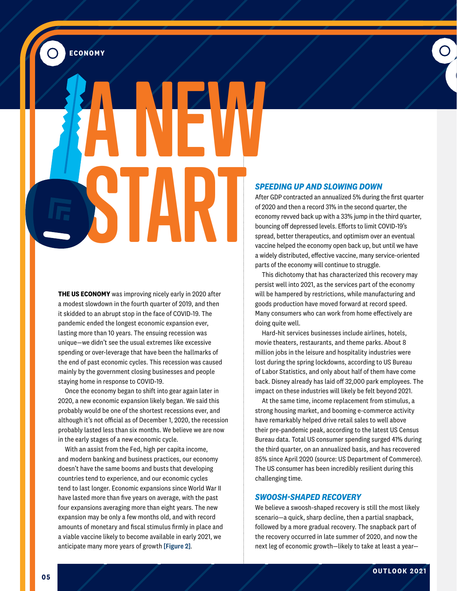**ECONOMY**

 $\boldsymbol{\odot}$ 

**A NEW START**

> **THE US ECONOMY** was improving nicely early in 2020 after a modest slowdown in the fourth quarter of 2019, and then it skidded to an abrupt stop in the face of COVID-19. The pandemic ended the longest economic expansion ever, lasting more than 10 years. The ensuing recession was unique—we didn't see the usual extremes like excessive spending or over-leverage that have been the hallmarks of the end of past economic cycles. This recession was caused mainly by the government closing businesses and people staying home in response to COVID-19.

Once the economy began to shift into gear again later in 2020, a new economic expansion likely began. We said this probably would be one of the shortest recessions ever, and although it's not official as of December 1, 2020, the recession probably lasted less than six months. We believe we are now in the early stages of a new economic cycle.

With an assist from the Fed, high per capita income, and modern banking and business practices, our economy doesn't have the same booms and busts that developing countries tend to experience, and our economic cycles tend to last longer. Economic expansions since World War II have lasted more than five years on average, with the past four expansions averaging more than eight years. The new expansion may be only a few months old, and with record amounts of monetary and fiscal stimulus firmly in place and a viable vaccine likely to become available in early 2021, we anticipate many more years of growth [Figure 2].

#### *SPEEDING UP AND SLOWING DOWN*

After GDP contracted an annualized 5% during the first quarter of 2020 and then a record 31% in the second quarter, the economy revved back up with a 33% jump in the third quarter, bouncing off depressed levels. Efforts to limit COVID-19's spread, better therapeutics, and optimism over an eventual vaccine helped the economy open back up, but until we have a widely distributed, effective vaccine, many service-oriented parts of the economy will continue to struggle.

 $\bullet$ 

This dichotomy that has characterized this recovery may persist well into 2021, as the services part of the economy will be hampered by restrictions, while manufacturing and goods production have moved forward at record speed. Many consumers who can work from home effectively are doing quite well.

Hard-hit services businesses include airlines, hotels, movie theaters, restaurants, and theme parks. About 8 million jobs in the leisure and hospitality industries were lost during the spring lockdowns, according to US Bureau of Labor Statistics, and only about half of them have come back. Disney already has laid off 32,000 park employees. The impact on these industries will likely be felt beyond 2021.

At the same time, income replacement from stimulus, a strong housing market, and booming e-commerce activity have remarkably helped drive retail sales to well above their pre-pandemic peak, according to the latest US Census Bureau data. Total US consumer spending surged 41% during the third quarter, on an annualized basis, and has recovered 85% since April 2020 (source: US Department of Commerce). The US consumer has been incredibly resilient during this challenging time.

#### *SWOOSH-SHAPED RECOVERY*

We believe a swoosh-shaped recovery is still the most likely scenario—a quick, sharp decline, then a partial snapback, followed by a more gradual recovery. The snapback part of the recovery occurred in late summer of 2020, and now the next leg of economic growth—likely to take at least a year—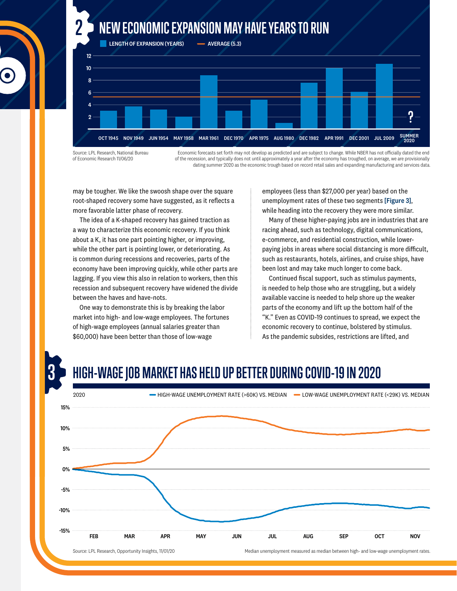### **2 NEW ECONOMIC EXPANSION MAY HAVE YEARS TO RUN**



Source: LPL Research, National Bureau of Economic Research 11/06/20

**3**

Economic forecasts set forth may not develop as predicted and are subject to change. While NBER has not officially dated the end of the recession, and typically does not until approximately a year after the economy has troughed, on average, we are provisionally dating summer 2020 as the economic trough based on record retail sales and expanding manufacturing and services data.

may be tougher. We like the swoosh shape over the square root-shaped recovery some have suggested, as it reflects a more favorable latter phase of recovery.

The idea of a K-shaped recovery has gained traction as a way to characterize this economic recovery. If you think about a K, it has one part pointing higher, or improving, while the other part is pointing lower, or deteriorating. As is common during recessions and recoveries, parts of the economy have been improving quickly, while other parts are lagging. If you view this also in relation to workers, then this recession and subsequent recovery have widened the divide between the haves and have-nots.

One way to demonstrate this is by breaking the labor market into high- and low-wage employees. The fortunes of high-wage employees (annual salaries greater than \$60,000) have been better than those of low-wage

employees (less than \$27,000 per year) based on the unemployment rates of these two segments [Figure 3], while heading into the recovery they were more similar.

Many of these higher-paying jobs are in industries that are racing ahead, such as technology, digital communications, e-commerce, and residential construction, while lowerpaying jobs in areas where social distancing is more difficult, such as restaurants, hotels, airlines, and cruise ships, have been lost and may take much longer to come back.

Continued fiscal support, such as stimulus payments, is needed to help those who are struggling, but a widely available vaccine is needed to help shore up the weaker parts of the economy and lift up the bottom half of the "K." Even as COVID-19 continues to spread, we expect the economic recovery to continue, bolstered by stimulus. As the pandemic subsides, restrictions are lifted, and

## **HIGH-WAGE JOB MARKET HAS HELD UP BETTER DURING COVID-19 IN 2020** 15% 10% 5% 0% 2020 HIGH-WAGE UNEMPLOYMENT RATE (>60K) VS. MEDIAN LOW-WAGE UNEMPLOYMENT RATE (<29K) VS. MEDIAN

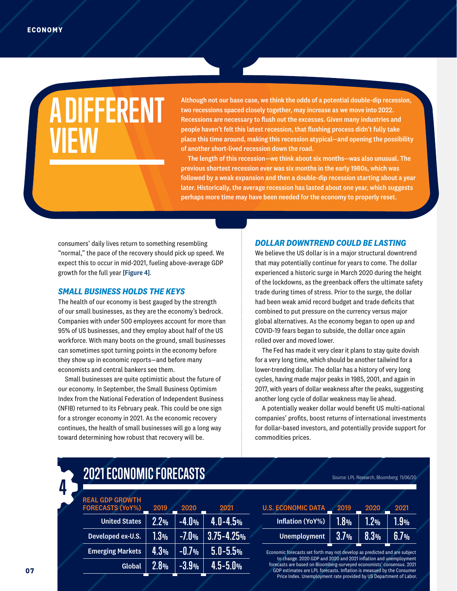## **A DIFFERENT VIEW**

Although not our base case, we think the odds of a potential double-dip recession, two recessions spaced closely together, may increase as we move into 2022. Recessions are necessary to flush out the excesses. Given many industries and people haven't felt this latest recession, that flushing process didn't fully take place this time around, making this recession atypical—and opening the possibility of another short-lived recession down the road.

The length of this recession—we think about six months—was also unusual. The previous shortest recession ever was six months in the early 1980s, which was followed by a weak expansion and then a double-dip recession starting about a year later. Historically, the average recession has lasted about one year, which suggests perhaps more time may have been needed for the economy to properly reset.

consumers' daily lives return to something resembling "normal," the pace of the recovery should pick up speed. We expect this to occur in mid-2021, fueling above-average GDP growth for the full year [Figure 4].

#### *SMALL BUSINESS HOLDS THE KEYS*

The health of our economy is best gauged by the strength of our small businesses, as they are the economy's bedrock. Companies with under 500 employees account for more than 95% of US businesses, and they employ about half of the US workforce. With many boots on the ground, small businesses can sometimes spot turning points in the economy before they show up in economic reports—and before many economists and central bankers see them.

Small businesses are quite optimistic about the future of our economy. In September, the Small Business Optimism Index from the National Federation of Independent Business (NFIB) returned to its February peak. This could be one sign for a stronger economy in 2021. As the economic recovery continues, the health of small businesses will go a long way toward determining how robust that recovery will be.

#### *DOLLAR DOWNTREND COULD BE LASTING*

We believe the US dollar is in a major structural downtrend that may potentially continue for years to come. The dollar experienced a historic surge in March 2020 during the height of the lockdowns, as the greenback offers the ultimate safety trade during times of stress. Prior to the surge, the dollar had been weak amid record budget and trade deficits that combined to put pressure on the currency versus major global alternatives. As the economy began to open up and COVID-19 fears began to subside, the dollar once again rolled over and moved lower.

The Fed has made it very clear it plans to stay quite dovish for a very long time, which should be another tailwind for a lower-trending dollar. The dollar has a history of very long cycles, having made major peaks in 1985, 2001, and again in 2017, with years of dollar weakness after the peaks, suggesting another long cycle of dollar weakness may lie ahead.

A potentially weaker dollar would benefit US multi-national companies' profits, boost returns of international investments for dollar-based investors, and potentially provide support for commodities prices.

#### **2.2% 1.3% 4.3% 2.8% –4.0% –7.0% –0.7% –3.9% 4.0–4.5% 3.75–4.25% 5.0–5.5% 4.5–5.0%** United States Developed ex-U.S. Emerging Markets Global 2019 REAL GDP GROWTH FORECASTS (YoY%) 2020 2021

**2021 ECONOMIC FORECASTS** 

| <b>U.S. ECONOMIC DATA</b> | 2019    | 2020 | 2021 |  |
|---------------------------|---------|------|------|--|
| Inflation (YoY%)          | $1.8\%$ | 1.2% | I.Y% |  |
| <b>Unemployment</b>       | 3.7%    | 8.3% | 6.7% |  |

Economic forecasts set forth may not develop as predicted and are subject to change. 2020 GDP and 2020 and 2021 inflation and unemployment forecasts are based on Bloomberg-surveyed economists' consensus. 2021 GDP estimates are LPL forecasts. Inflation is measued by the Consumer Price Index. Unemployment rate provided by US Department of Labor.

**4**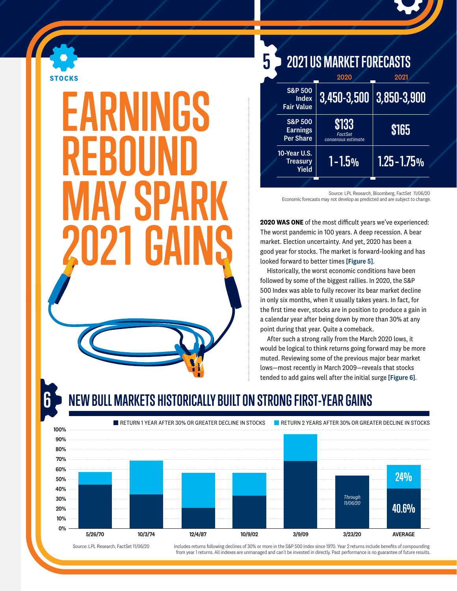

## **1 EARNINGS REBOUND MAY SPARK**

**3,450-3,500 \$133 1 – 1.5% 3,850-3,900 \$165 1.25 – 1.75%** S&P 500 Index Fair Value S&P 500 Earnings Per Share 10-Year U.S. **Treasurv** Yield 2020 *FactSet consensus estimate* 2021 **5 2021 US MARKET FORECASTS**

> Source: LPL Research, Bloomberg, FactSet 11/06/20 Economic forecasts may not develop as predicted and are subject to change.

**2020 WAS ONE** of the most difficult years we've experienced: The worst pandemic in 100 years. A deep recession. A bear market. Election uncertainty. And yet, 2020 has been a good year for stocks. The market is forward-looking and has looked forward to better times [Figure 5].

Historically, the worst economic conditions have been followed by some of the biggest rallies. In 2020, the S&P 500 Index was able to fully recover its bear market decline in only six months, when it usually takes years. In fact, for the first time ever, stocks are in position to produce a gain in a calendar year after being down by more than 30% at any point during that year. Quite a comeback.

After such a strong rally from the March 2020 lows, it would be logical to think returns going forward may be more muted. Reviewing some of the previous major bear market lows—most recently in March 2009—reveals that stocks tended to add gains well after the initial surge [Figure 6].

## **EW BULL MARKETS HISTORICALLY BUILT ON STRONG FIRST-YEAR GAINS**



Source: LPL Research, FactSet 11/06/20

Includes returns following declines of 30% or more in the S&P 500 Index since 1970. Year 2 returns include benefits of compounding from year 1 returns. All indexes are unmanaged and can't be invested in directly. Past performance is no guarantee of future results.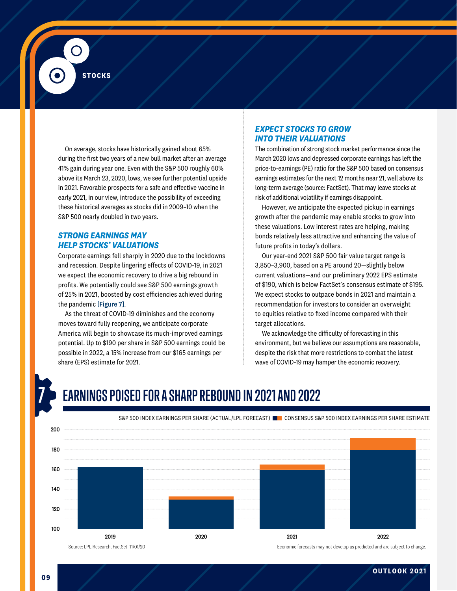**STOCKS**

On average, stocks have historically gained about 65% during the first two years of a new bull market after an average 41% gain during year one. Even with the S&P 500 roughly 60% above its March 23, 2020, lows, we see further potential upside in 2021. Favorable prospects for a safe and effective vaccine in early 2021, in our view, introduce the possibility of exceeding these historical averages as stocks did in 2009–10 when the S&P 500 nearly doubled in two years.

#### *STRONG EARNINGS MAY HELP STOCKS' VALUATIONS*

Corporate earnings fell sharply in 2020 due to the lockdowns and recession. Despite lingering effects of COVID-19, in 2021 we expect the economic recovery to drive a big rebound in profits. We potentially could see S&P 500 earnings growth of 25% in 2021, boosted by cost efficiencies achieved during the pandemic [Figure 7].

As the threat of COVID-19 diminishes and the economy moves toward fully reopening, we anticipate corporate America will begin to showcase its much-improved earnings potential. Up to \$190 per share in S&P 500 earnings could be possible in 2022, a 15% increase from our \$165 earnings per share (EPS) estimate for 2021.

#### *EXPECT STOCKS TO GROW INTO THEIR VALUATIONS*

The combination of strong stock market performance since the March 2020 lows and depressed corporate earnings has left the price-to-earnings (PE) ratio for the S&P 500 based on consensus earnings estimates for the next 12 months near 21, well above its long-term average (source: FactSet). That may leave stocks at risk of additional volatility if earnings disappoint.

However, we anticipate the expected pickup in earnings growth after the pandemic may enable stocks to grow into these valuations. Low interest rates are helping, making bonds relatively less attractive and enhancing the value of future profits in today's dollars.

Our year-end 2021 S&P 500 fair value target range is 3,850–3,900, based on a PE around 20—slightly below current valuations—and our preliminary 2022 EPS estimate of \$190, which is below FactSet's consensus estimate of \$195. We expect stocks to outpace bonds in 2021 and maintain a recommendation for investors to consider an overweight to equities relative to fixed income compared with their target allocations.

We acknowledge the difficulty of forecasting in this environment, but we believe our assumptions are reasonable, despite the risk that more restrictions to combat the latest wave of COVID-19 may hamper the economic recovery.

## **7 EARNINGS POISED FOR A SHARP REBOUND IN 2021 AND 2022**



#### S&P 500 INDEX EARNINGS PER SHARE (ACTUAL/LPL FORECAST) CONSENSUS S&P 500 INDEX EARNINGS PER SHARE ESTIMATE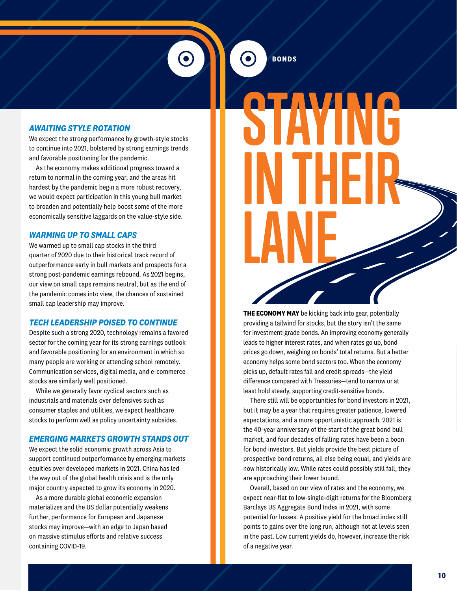#### *AWAITING STYLE ROTATION*

We expect the strong performance by growth-style stocks to continue into 2021, bolstered by strong earnings trends and favorable positioning for the pandemic.

As the economy makes additional progress toward a return to normal in the coming year, and the areas hit hardest by the pandemic begin a more robust recovery, we would expect participation in this young bull market to broaden and potentially help boost some of the more economically sensitive laggards on the value-style side.

#### *WARMING UP TO SMALL CAPS*

We warmed up to small cap stocks in the third quarter of 2020 due to their historical track record of outperformance early in bull markets and prospects for a strong post-pandemic earnings rebound. As 2021 begins, our view on small caps remains neutral, but as the end of the pandemic comes into view, the chances of sustained small cap leadership may improve.

#### *TECH LEADERSHIP POISED TO CONTINUE*

Despite such a strong 2020, technology remains a favored sector for the coming year for its strong earnings outlook and favorable positioning for an environment in which so many people are working or attending school remotely. Communication services, digital media, and e-commerce stocks are similarly well positioned.

While we generally favor cyclical sectors such as industrials and materials over defensives such as consumer staples and utilities, we expect healthcare stocks to perform well as policy uncertainty subsides.

#### *EMERGING MARKETS GROWTH STANDS OUT*

We expect the solid economic growth across Asia to support continued outperformance by emerging markets equities over developed markets in 2021. China has led the way out of the global health crisis and is the only major country expected to grow its economy in 2020.

As a more durable global economic expansion materializes and the US dollar potentially weakens further, performance for European and Japanese stocks may improve—with an edge to Japan based on massive stimulus efforts and relative success containing COVID-19.

**BONDS**

## **STAYING IN THEIR LANE THEIR**

**THE ECONOMY MAY** be kicking back into gear, potentially providing a tailwind for stocks, but the story isn't the same for investment-grade bonds. An improving economy generally leads to higher interest rates, and when rates go up, bond prices go down, weighing on bonds' total returns. But a better economy helps some bond sectors too. When the economy picks up, default rates fall and credit spreads—the yield difference compared with Treasuries—tend to narrow or at least hold steady, supporting credit-sensitive bonds.

There still will be opportunities for bond investors in 2021, but it may be a year that requires greater patience, lowered expectations, and a more opportunistic approach. 2021 is the 40-year anniversary of the start of the great bond bull market, and four decades of falling rates have been a boon for bond investors. But yields provide the best picture of prospective bond returns, all else being equal, and yields are now historically low. While rates could possibly still fall, they are approaching their lower bound.

Overall, based on our view of rates and the economy, we expect near-flat to low-single-digit returns for the Bloomberg Barclays US Aggregate Bond Index in 2021, with some potential for losses. A positive yield for the broad index still points to gains over the long run, although not at levels seen in the past. Low current yields do, however, increase the risk of a negative year.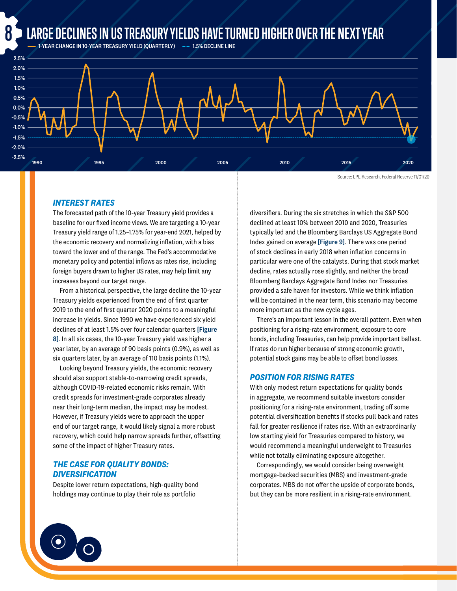## **LARGE DECLINES IN US TREASURY YIELDS HAVE TURNED HIGHER OVER THE NEXT YEAR**<br>— 1-YEAR CHANGE IN 10-YEAR TREASURY YIELD (OUARTERLY) —– 1.5% DECLINE LINE



#### *INTEREST RATES*

The forecasted path of the 10-year Treasury yield provides a baseline for our fixed income views. We are targeting a 10-year Treasury yield range of 1.25–1.75% for year-end 2021, helped by the economic recovery and normalizing inflation, with a bias toward the lower end of the range. The Fed's accommodative monetary policy and potential inflows as rates rise, including foreign buyers drawn to higher US rates, may help limit any increases beyond our target range.

From a historical perspective, the large decline the 10-year Treasury yields experienced from the end of first quarter 2019 to the end of first quarter 2020 points to a meaningful increase in yields. Since 1990 we have experienced six yield declines of at least 1.5% over four calendar quarters [Figure 8]. In all six cases, the 10-year Treasury yield was higher a year later, by an average of 90 basis points (0.9%), as well as six quarters later, by an average of 110 basis points (1.1%).

Looking beyond Treasury yields, the economic recovery should also support stable-to-narrowing credit spreads, although COVID-19-related economic risks remain. With credit spreads for investment-grade corporates already near their long-term median, the impact may be modest. However, if Treasury yields were to approach the upper end of our target range, it would likely signal a more robust recovery, which could help narrow spreads further, offsetting some of the impact of higher Treasury rates.

#### *THE CASE FOR QUALITY BONDS: DIVERSIFICATION*

Despite lower return expectations, high-quality bond holdings may continue to play their role as portfolio

diversifiers. During the six stretches in which the S&P 500 declined at least 10% between 2010 and 2020, Treasuries typically led and the Bloomberg Barclays US Aggregate Bond Index gained on average [Figure 9]. There was one period of stock declines in early 2018 when inflation concerns in particular were one of the catalysts. During that stock market decline, rates actually rose slightly, and neither the broad Bloomberg Barclays Aggregate Bond Index nor Treasuries provided a safe haven for investors. While we think inflation will be contained in the near term, this scenario may become more important as the new cycle ages.

There's an important lesson in the overall pattern. Even when positioning for a rising-rate environment, exposure to core bonds, including Treasuries, can help provide important ballast. If rates do run higher because of strong economic growth, potential stock gains may be able to offset bond losses.

#### *POSITION FOR RISING RATES*

With only modest return expectations for quality bonds in aggregate, we recommend suitable investors consider positioning for a rising-rate environment, trading off some potential diversification benefits if stocks pull back and rates fall for greater resilience if rates rise. With an extraordinarily low starting yield for Treasuries compared to history, we would recommend a meaningful underweight to Treasuries while not totally eliminating exposure altogether.

Correspondingly, we would consider being overweight mortgage-backed securities (MBS) and investment-grade corporates. MBS do not offer the upside of corporate bonds, but they can be more resilient in a rising-rate environment.

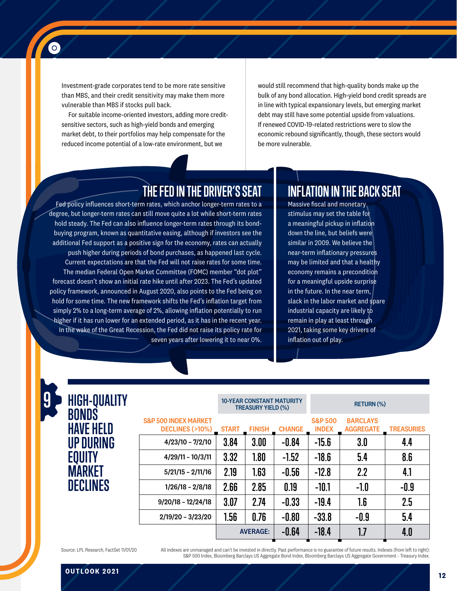Investment-grade corporates tend to be more rate sensitive than MBS, and their credit sensitivity may make them more vulnerable than MBS if stocks pull back.

 $\bullet$ 

For suitable income-oriented investors, adding more creditsensitive sectors, such as high-yield bonds and emerging market debt, to their portfolios may help compensate for the reduced income potential of a low-rate environment, but we

would still recommend that high-quality bonds make up the bulk of any bond allocation. High-yield bond credit spreads are in line with typical expansionary levels, but emerging market debt may still have some potential upside from valuations. If renewed COVID-19-related restrictions were to slow the economic rebound significantly, though, these sectors would be more vulnerable.

### **THE FED IN THE DRIVER'S SEAT**

Fed policy influences short-term rates, which anchor longer-term rates to a degree, but longer-term rates can still move quite a lot while short-term rates hold steady. The Fed can also influence longer-term rates through its bondbuying program, known as quantitative easing, although if investors see the additional Fed support as a positive sign for the economy, rates can actually push higher during periods of bond purchases, as happened last cycle. Current expectations are that the Fed will not raise rates for some time. The median Federal Open Market Committee (FOMC) member "dot plot" forecast doesn't show an initial rate hike until after 2023. The Fed's updated policy framework, announced in August 2020, also points to the Fed being on hold for some time. The new framework shifts the Fed's inflation target from simply 2% to a long-term average of 2%, allowing inflation potentially to run higher if it has run lower for an extended period, as it has in the recent year. In the wake of the Great Recession, the Fed did not raise its policy rate for seven years after lowering it to near 0%.

### **INFLATION IN THE BACK SEAT**

Massive fiscal and monetary stimulus may set the table for a meaningful pickup in inflation down the line, but beliefs were similar in 2009. We believe the near-term inflationary pressures may be limited and that a healthy economy remains a precondition for a meaningful upside surprise in the future. In the near term, slack in the labor market and spare industrial capacity are likely to remain in play at least through 2021, taking some key drivers of inflation out of play.

| <b>HIGH-QUALITY</b>              |                                                    | <b>10-YEAR CONSTANT MATURITY</b><br><b>TREASURY YIELD (%)</b> |                 |               | <b>RETURN (%)</b>                  |                                     |                   |
|----------------------------------|----------------------------------------------------|---------------------------------------------------------------|-----------------|---------------|------------------------------------|-------------------------------------|-------------------|
| <b>BONDS</b><br><b>HAVE HELD</b> | <b>S&amp;P 500 INDEX MARKET</b><br>DECLINES (>10%) | <b>START</b>                                                  | <b>FINISH</b>   | <b>CHANGE</b> | <b>S&amp;P 500</b><br><b>INDEX</b> | <b>BARCLAYS</b><br><b>AGGREGATE</b> | <b>TREASURIES</b> |
| UP DURING                        | $4/23/10 - 7/2/10$                                 | 3.84                                                          | 3.00            | $-0.84$       | $-15.6$                            | 3.0                                 | 4.4               |
| <b>EQUITY</b>                    | $4/29/11 - 10/3/11$                                | 3.32                                                          | 1.80            | $-1.52$       | $-18.6$                            | 5.4                                 | 8.6               |
| MARKET                           | $5/21/15 - 2/11/16$                                | 2.19                                                          | 1.63            | $-0.56$       | $-12.8$                            | 2.2                                 | 4.1               |
| <b>DECLINES</b>                  | $1/26/18 - 2/8/18$                                 | 2.66                                                          | 2.85            | 0.19          | $-10.1$                            | $-1.0$                              | $-0.9$            |
|                                  | $9/20/18 - 12/24/18$                               | 3.07                                                          | 2.74            | $-0.33$       | $-19.4$                            | 1.6                                 | 2.5               |
|                                  | $2/19/20 - 3/23/20$                                | 1.56                                                          | 0.76            | $-0.80$       | $-33.8$                            | $-0.9$                              | 5.4               |
|                                  |                                                    |                                                               | <b>AVERAGE:</b> | $-0.64$       | $-18.4$                            | 1.7                                 | 4.0               |

Source: LPL Research, FactSet 11/01/20

All indexes are unmanaged and can't be invested in directly. Past performance is no guarantee of future results. Indexes (from left to right): S&P 500 Index, Bloomberg Barclays US Aggregate Bond Index, Bloomberg Barclays US Aggregate Government - Treasury Index.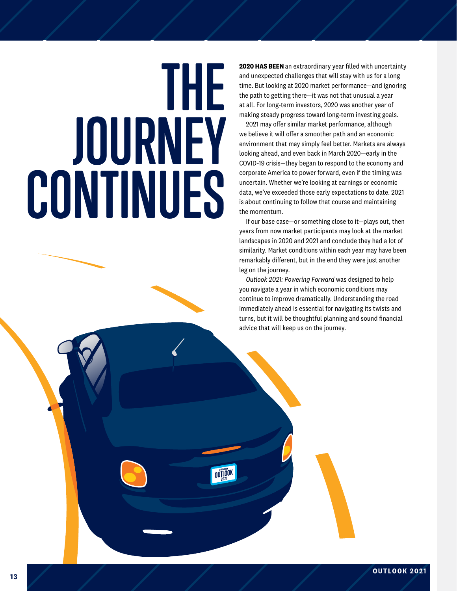# **THE JOURNEY CONTINUES**

**2020 HAS BEEN** an extraordinary year filled with uncertainty and unexpected challenges that will stay with us for a long time. But looking at 2020 market performance—and ignoring the path to getting there—it was not that unusual a year at all. For long-term investors, 2020 was another year of making steady progress toward long-term investing goals.

2021 may offer similar market performance, although we believe it will offer a smoother path and an economic environment that may simply feel better. Markets are always looking ahead, and even back in March 2020—early in the COVID-19 crisis—they began to respond to the economy and corporate America to power forward, even if the timing was uncertain. Whether we're looking at earnings or economic data, we've exceeded those early expectations to date. 2021 is about continuing to follow that course and maintaining the momentum.

If our base case—or something close to it—plays out, then years from now market participants may look at the market landscapes in 2020 and 2021 and conclude they had a lot of similarity. Market conditions within each year may have been remarkably different, but in the end they were just another leg on the journey.

*Outlook 2021: Powering Forward* was designed to help you navigate a year in which economic conditions may continue to improve dramatically. Understanding the road immediately ahead is essential for navigating its twists and turns, but it will be thoughtful planning and sound financial advice that will keep us on the journey.

OUTLOOK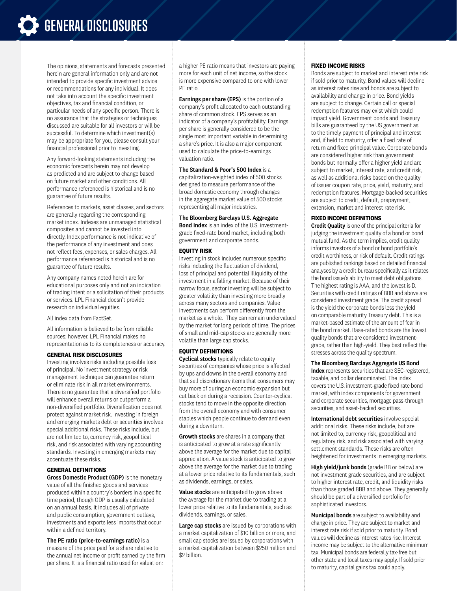## **GENERAL DISCLOSURES**

The opinions, statements and forecasts presented herein are general information only and are not intended to provide specific investment advice or recommendations for any individual. It does not take into account the specific investment objectives, tax and financial condition, or particular needs of any specific person. There is no assurance that the strategies or techniques discussed are suitable for all investors or will be successful. To determine which investment(s) may be appropriate for you, please consult your financial professional prior to investing.

Any forward-looking statements including the economic forecasts herein may not develop as predicted and are subject to change based on future market and other conditions. All performance referenced is historical and is no guarantee of future results.

References to markets, asset classes, and sectors are generally regarding the corresponding market index. Indexes are unmanaged statistical composites and cannot be invested into directly. Index performance is not indicative of the performance of any investment and does not reflect fees, expenses, or sales charges. All performance referenced is historical and is no guarantee of future results.

Any company names noted herein are for educational purposes only and not an indication of trading intent or a solicitation of their products or services. LPL Financial doesn't provide research on individual equities.

#### All index data from FactSet.

All information is believed to be from reliable sources; however, LPL Financial makes no representation as to its completeness or accuracy.

#### **GENERAL RISK DISCLOSURES**

Investing involves risks including possible loss of principal. No investment strategy or risk management technique can guarantee return or eliminate risk in all market environments. There is no guarantee that a diversified portfolio will enhance overall returns or outperform a non-diversified portfolio. Diversification does not protect against market risk. Investing in foreign and emerging markets debt or securities involves special additional risks. These risks include, but are not limited to, currency risk, geopolitical risk, and risk associated with varying accounting standards. Investing in emerging markets may accentuate these risks.

#### **GENERAL DEFINITIONS**

Gross Domestic Product (GDP) is the monetary value of all the finished goods and services produced within a country's borders in a specific time period, though GDP is usually calculated on an annual basis. It includes all of private and public consumption, government outlays, investments and exports less imports that occur within a defined territory.

The PE ratio (price-to-earnings ratio) is a measure of the price paid for a share relative to the annual net income or profit earned by the firm per share. It is a financial ratio used for valuation:

a higher PE ratio means that investors are paying more for each unit of net income, so the stock is more expensive compared to one with lower PE ratio.

Earnings per share (EPS) is the portion of a company's profit allocated to each outstanding share of common stock. EPS serves as an indicator of a company's profitability. Earnings per share is generally considered to be the single most important variable in determining a share's price. It is also a major component used to calculate the price-to-earnings valuation ratio.

#### The Standard & Poor's 500 Index is a

capitalization-weighted index of 500 stocks designed to measure performance of the broad domestic economy through changes in the aggregate market value of 500 stocks representing all major industries.

The Bloomberg Barclays U.S. Aggregate Bond Index is an index of the U.S. investment-

grade fixed-rate bond market, including both government and corporate bonds.

#### **EQUITY RISK**

Investing in stock includes numerous specific risks including the fluctuation of dividend, loss of principal and potential illiquidity of the investment in a falling market. Because of their narrow focus, sector investing will be subject to greater volatility than investing more broadly across many sectors and companies. Value investments can perform differently from the market as a whole. They can remain undervalued by the market for long periods of time. The prices of small and mid-cap stocks are generally more volatile than large cap stocks.

#### **EQUITY DEFINITIONS**

Cyclical stocks typically relate to equity securities of companies whose price is affected by ups and downs in the overall economy and that sell discretionary items that consumers may buy more of during an economic expansion but cut back on during a recession. Counter-cyclical stocks tend to move in the opposite direction from the overall economy and with consumer staples which people continue to demand even during a downturn.

**Growth stocks** are shares in a company that is anticipated to grow at a rate significantly above the average for the market due to capital appreciation. A value stock is anticipated to grow above the average for the market due to trading at a lower price relative to its fundamentals, such as dividends, earnings, or sales.

Value stocks are anticipated to grow above the average for the market due to trading at a lower price relative to its fundamentals, such as dividends, earnings, or sales.

Large cap stocks are issued by corporations with a market capitalization of \$10 billion or more, and small cap stocks are issued by corporations with a market capitalization between \$250 million and \$2 billion.

#### **FIXED INCOME RISKS**

Bonds are subject to market and interest rate risk if sold prior to maturity. Bond values will decline as interest rates rise and bonds are subject to availability and change in price. Bond yields are subject to change. Certain call or special redemption features may exist which could impact yield. Government bonds and Treasury bills are guaranteed by the US government as to the timely payment of principal and interest and, if held to maturity, offer a fixed rate of return and fixed principal value. Corporate bonds are considered higher risk than government bonds but normally offer a higher yield and are subject to market, interest rate, and credit risk, as well as additional risks based on the quality of issuer coupon rate, price, yield, maturity, and redemption features. Mortgage-backed securities are subject to credit, default, prepayment, extension, market and interest rate risk.

#### **FIXED INCOME DEFINITIONS**

Credit Quality is one of the principal criteria for judging the investment quality of a bond or bond mutual fund. As the term implies, credit quality informs investors of a bond or bond portfolio's credit worthiness, or risk of default. Credit ratings are published rankings based on detailed financial analyses by a credit bureau specifically as it relates the bond issue's ability to meet debt obligations. The highest rating is AAA, and the lowest is D. Securities with credit ratings of BBB and above are considered investment grade. The credit spread is the yield the corporate bonds less the yield on comparable maturity Treasury debt. This is a market-based estimate of the amount of fear in the bond market. Base-rated bonds are the lowest quality bonds that are considered investmentgrade, rather than high-yield. They best reflect the stresses across the quality spectrum.

#### The Bloomberg Barclays Aggregate US Bond

Index represents securities that are SEC-registered, taxable, and dollar denominated. The index covers the U.S. investment-grade fixed rate bond market, with index components for government and corporate securities, mortgage pass-through securities, and asset-backed securities.

International debt securities involve special additional risks. These risks include, but are not limited to, currency risk, geopolitical and regulatory risk, and risk associated with varying settlement standards. These risks are often heightened for investments in emerging markets.

High yield/junk bonds (grade BB or below) are not investment grade securities, and are subject to higher interest rate, credit, and liquidity risks than those graded BBB and above. They generally should be part of a diversified portfolio for sophisticated investors.

Municipal bonds are subject to availability and change in price. They are subject to market and interest rate risk if sold prior to maturity. Bond values will decline as interest rates rise. Interest income may be subject to the alternative minimum tax. Municipal bonds are federally tax-free but other state and local taxes may apply. If sold prior to maturity, capital gains tax could apply.